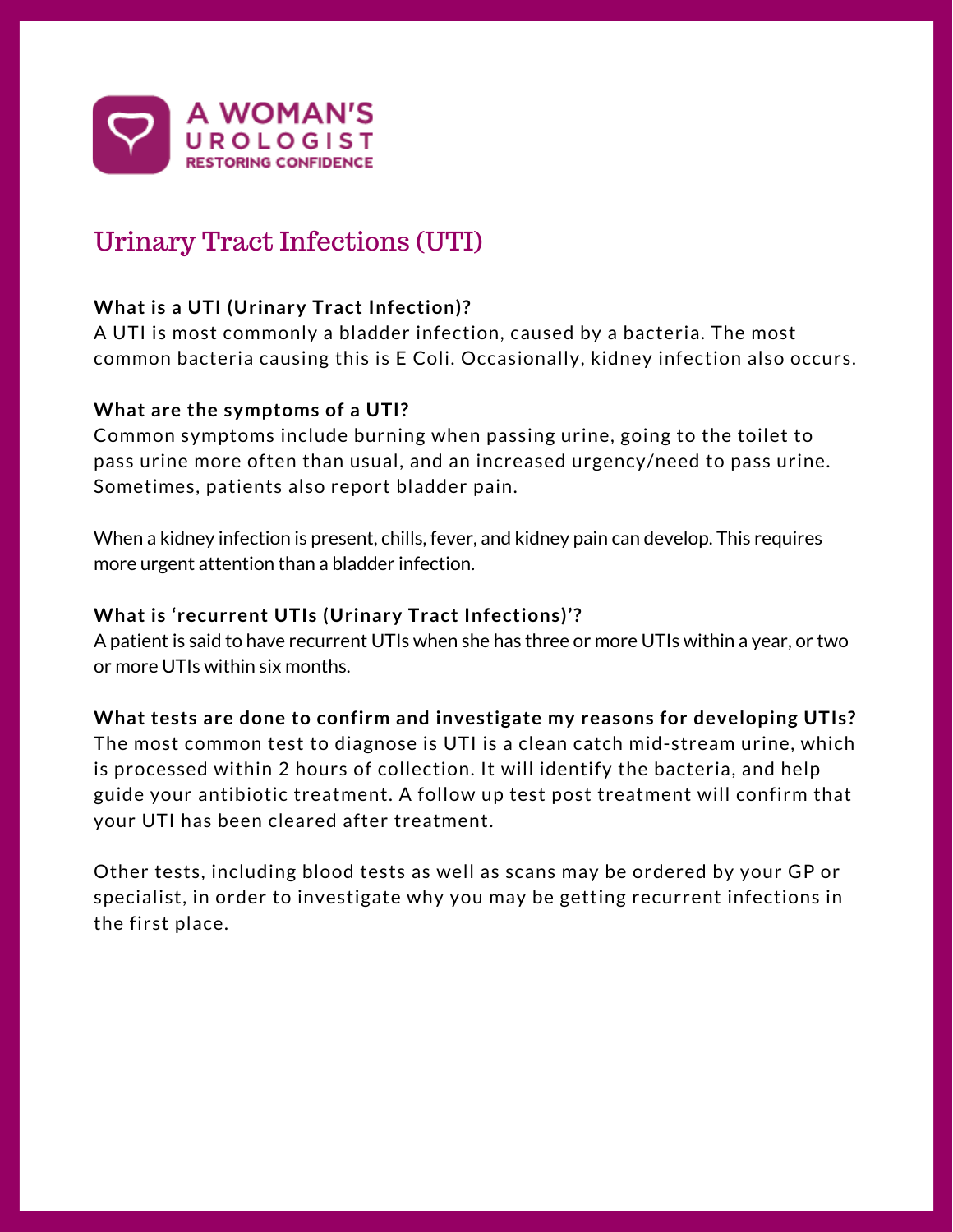

# Urinary Tract Infections (UTI)

# **What is a UTI (Urinary Tract Infection)?**

A UTI is most commonly a bladder infection, caused by a bacteria. The most common bacteria causing this is E Coli. Occasionally, kidney infection also occurs.

#### **What are the symptoms of a UTI?**

Common symptoms include burning when passing urine, going to the toilet to pass urine more often than usual, and an increased urgency/need to pass urine. Sometimes, patients also report bladder pain.

When a kidney infection is present, chills, fever, and kidney pain can develop. This requires more urgent attention than a bladder infection.

### **What is 'recurrent UTIs (Urinary Tract Infections)'?**

A patient is said to have recurrent UTIs when she has three or more UTIs within a year, or two or more UTIs within six months.

#### **What tests are done to confirm and investigate my reasons for developing UTIs?**

The most common test to diagnose is UTI is a clean catch mid-stream urine, which is processed within 2 hours of collection. It will identify the bacteria, and help guide your antibiotic treatment. A follow up test post treatment will confirm that your UTI has been cleared after treatment.

Other tests, including blood tests as well as scans may be ordered by your GP or specialist, in order to investigate why you may be getting recurrent infections in the first place.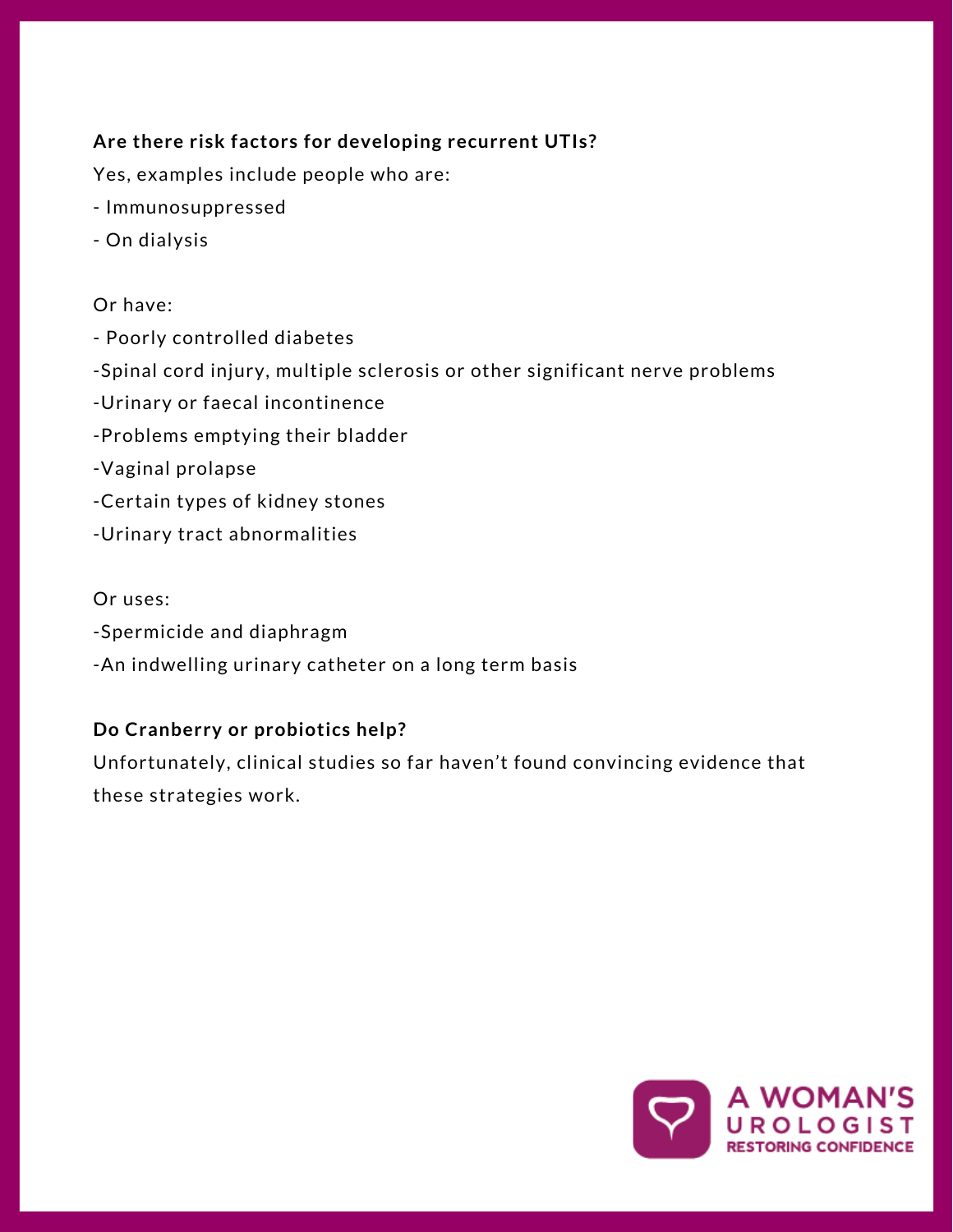# **Are there risk factors for developing recurrent UTIs?**

Yes, examples include people who are:

- Immunosuppressed
- On dialysis

#### Or have:

- Poorly controlled diabetes
- -Spinal cord injury, multiple sclerosis or other significant nerve problems
- -Urinary or faecal incontinence
- -Problems emptying their bladder
- -Vaginal prolapse
- -Certain types of kidney stones
- -Urinary tract abnormalities

#### Or uses:

- -Spermicide and diaphragm
- -An indwelling urinary catheter on a long term basis

# **Do Cranberry or probiotics help?**

Unfortunately, clinical studies so far haven't found convincing evidence that these strategies work.